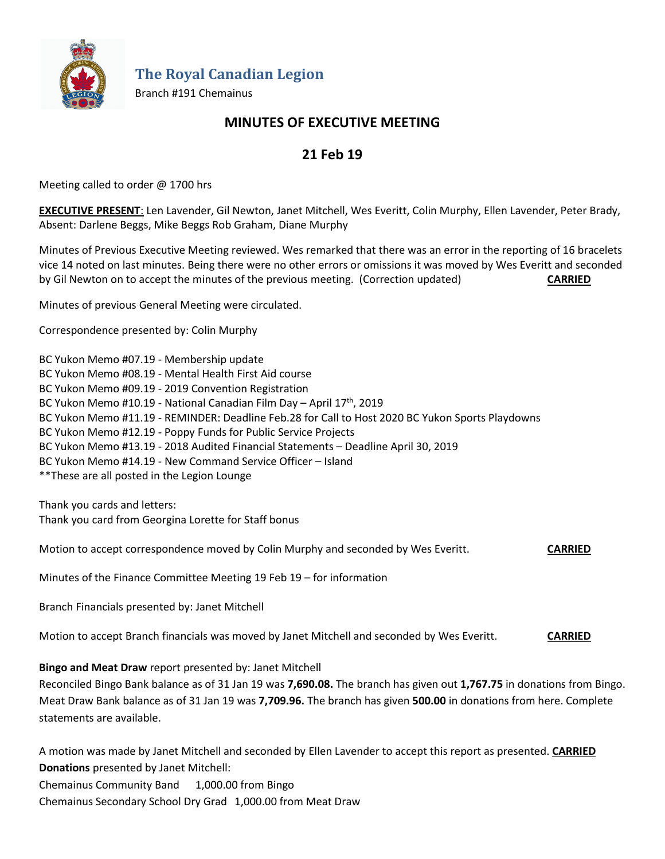

**The Royal Canadian Legion**

Branch #191 Chemainus

# **MINUTES OF EXECUTIVE MEETING**

# **21 Feb 19**

Meeting called to order @ 1700 hrs

**EXECUTIVE PRESENT**: Len Lavender, Gil Newton, Janet Mitchell, Wes Everitt, Colin Murphy, Ellen Lavender, Peter Brady, Absent: Darlene Beggs, Mike Beggs Rob Graham, Diane Murphy

Minutes of Previous Executive Meeting reviewed. Wes remarked that there was an error in the reporting of 16 bracelets vice 14 noted on last minutes. Being there were no other errors or omissions it was moved by Wes Everitt and seconded by Gil Newton on to accept the minutes of the previous meeting. (Correction updated) **CARRIED**

Minutes of previous General Meeting were circulated.

Correspondence presented by: Colin Murphy

BC Yukon Memo #07.19 - Membership update BC Yukon Memo #08.19 - Mental Health First Aid course BC Yukon Memo #09.19 - 2019 Convention Registration BC Yukon Memo #10.19 - National Canadian Film Day - April 17<sup>th</sup>, 2019 BC Yukon Memo #11.19 - REMINDER: Deadline Feb.28 for Call to Host 2020 BC Yukon Sports Playdowns BC Yukon Memo #12.19 - Poppy Funds for Public Service Projects BC Yukon Memo #13.19 - 2018 Audited Financial Statements – Deadline April 30, 2019 BC Yukon Memo #14.19 - New Command Service Officer – Island \*\*These are all posted in the Legion Lounge

Thank you cards and letters: Thank you card from Georgina Lorette for Staff bonus

Motion to accept correspondence moved by Colin Murphy and seconded by Wes Everitt. **CARRIED**

Minutes of the Finance Committee Meeting 19 Feb 19 – for information

Branch Financials presented by: Janet Mitchell

Motion to accept Branch financials was moved by Janet Mitchell and seconded by Wes Everitt. **CARRIED**

**Bingo and Meat Draw** report presented by: Janet Mitchell

Reconciled Bingo Bank balance as of 31 Jan 19 was **7,690.08.** The branch has given out **1,767.75** in donations from Bingo. Meat Draw Bank balance as of 31 Jan 19 was **7,709.96.** The branch has given **500.00** in donations from here. Complete statements are available.

A motion was made by Janet Mitchell and seconded by Ellen Lavender to accept this report as presented. **CARRIED Donations** presented by Janet Mitchell: Chemainus Community Band 1,000.00 from Bingo Chemainus Secondary School Dry Grad 1,000.00 from Meat Draw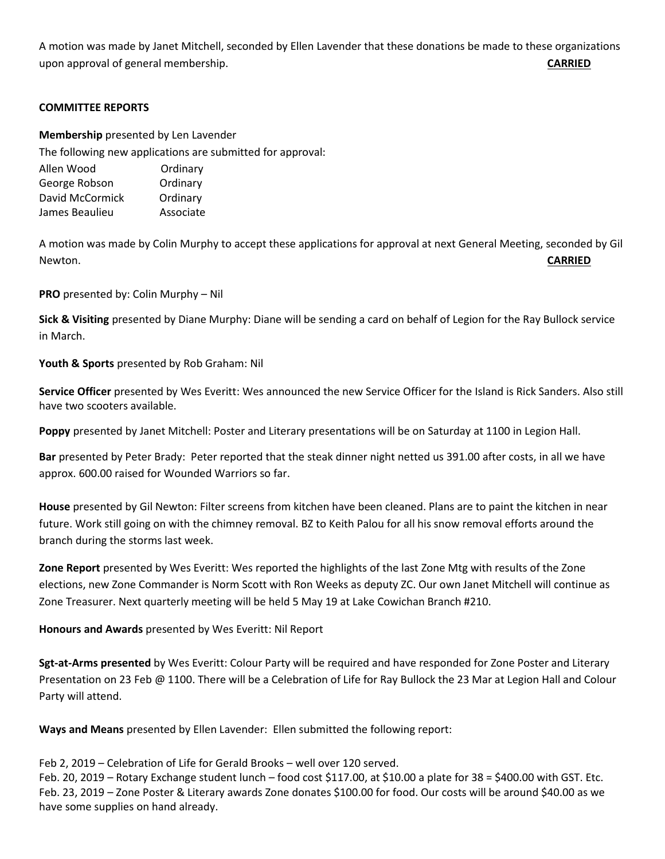A motion was made by Janet Mitchell, seconded by Ellen Lavender that these donations be made to these organizations upon approval of general membership. **CARRIED**

## **COMMITTEE REPORTS**

**Membership** presented by Len Lavender The following new applications are submitted for approval:

| THE TONOWNING TIEW applications are sabil |           |
|-------------------------------------------|-----------|
| Allen Wood                                | Ordinary  |
| George Robson                             | Ordinary  |
| David McCormick                           | Ordinary  |
| James Beaulieu                            | Associate |
|                                           |           |

A motion was made by Colin Murphy to accept these applications for approval at next General Meeting, seconded by Gil Newton. **CARRIED**

**PRO** presented by: Colin Murphy – Nil

**Sick & Visiting** presented by Diane Murphy: Diane will be sending a card on behalf of Legion for the Ray Bullock service in March.

**Youth & Sports** presented by Rob Graham: Nil

**Service Officer** presented by Wes Everitt: Wes announced the new Service Officer for the Island is Rick Sanders. Also still have two scooters available.

**Poppy** presented by Janet Mitchell: Poster and Literary presentations will be on Saturday at 1100 in Legion Hall.

**Bar** presented by Peter Brady: Peter reported that the steak dinner night netted us 391.00 after costs, in all we have approx. 600.00 raised for Wounded Warriors so far.

**House** presented by Gil Newton: Filter screens from kitchen have been cleaned. Plans are to paint the kitchen in near future. Work still going on with the chimney removal. BZ to Keith Palou for all his snow removal efforts around the branch during the storms last week.

**Zone Report** presented by Wes Everitt: Wes reported the highlights of the last Zone Mtg with results of the Zone elections, new Zone Commander is Norm Scott with Ron Weeks as deputy ZC. Our own Janet Mitchell will continue as Zone Treasurer. Next quarterly meeting will be held 5 May 19 at Lake Cowichan Branch #210.

**Honours and Awards** presented by Wes Everitt: Nil Report

**Sgt-at-Arms presented** by Wes Everitt: Colour Party will be required and have responded for Zone Poster and Literary Presentation on 23 Feb @ 1100. There will be a Celebration of Life for Ray Bullock the 23 Mar at Legion Hall and Colour Party will attend.

**Ways and Means** presented by Ellen Lavender: Ellen submitted the following report:

Feb 2, 2019 – Celebration of Life for Gerald Brooks – well over 120 served.

Feb. 20, 2019 – Rotary Exchange student lunch – food cost \$117.00, at \$10.00 a plate for 38 = \$400.00 with GST. Etc. Feb. 23, 2019 – Zone Poster & Literary awards Zone donates \$100.00 for food. Our costs will be around \$40.00 as we have some supplies on hand already.